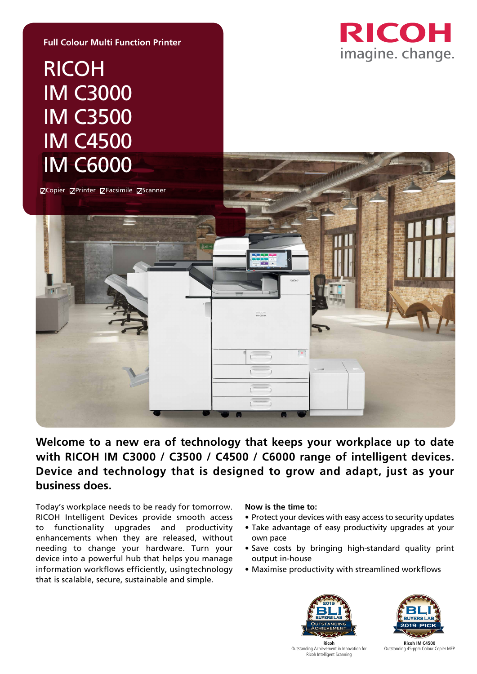

# RICOH IM C3000 IM C3500 IM C4500 IM C6000

**Full Colour Multi Function Printer**

ØCopier ØPrinter ØFacsimile ØScanner



### **Welcome to a new era of technology that keeps your workplace up to date with RICOH IM C3000 / C3500 / C4500 / C6000 range of intelligent devices. Device and technology that is designed to grow and adapt, just as your business does.**

Today's workplace needs to be ready for tomorrow. RICOH Intelligent Devices provide smooth access to functionality upgrades and productivity enhancements when they are released, without needing to change your hardware. Turn your device into a powerful hub that helps you manage information workflows efficiently, usingtechnology that is scalable, secure, sustainable and simple.

#### **Now is the time to:**

- Protect your devices with easy access to security updates
- Take advantage of easy productivity upgrades at your own pace
- Save costs by bringing high-standard quality print output in-house
- Maximise productivity with streamlined workflows





Ricoh Outstanding Achievement in Innovation for Ricoh Intelligent Scanning Outstanding Achievement in Innovation for Ricoh Intelligent Scanning **Ricoh**

Ricoh IM C4500 **Ricoh IM C4500** Outstanding 45-ppm Colour Copier MFP Outstanding 45-ppm Colour Copier MFP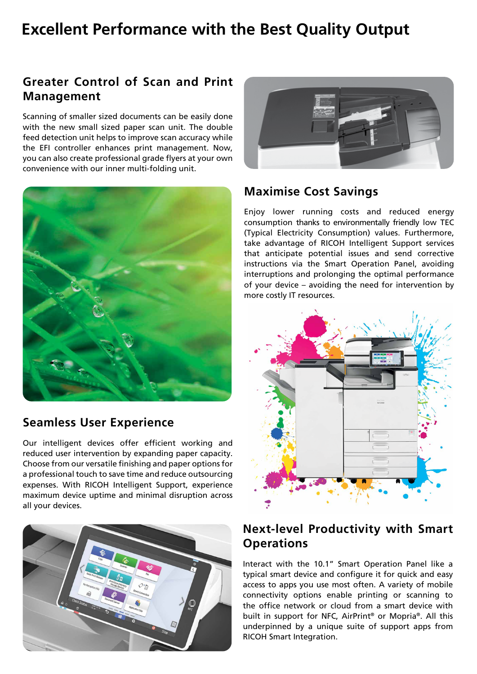# **Excellent Performance with the Best Quality Output**

## **Greater Control of Scan and Print Management**

Scanning of smaller sized documents can be easily done with the new small sized paper scan unit. The double feed detection unit helps to improve scan accuracy while the EFI controller enhances print management. Now, you can also create professional grade flyers at your own convenience with our inner multi-folding unit.



#### **Seamless User Experience**

Our intelligent devices offer efficient working and reduced user intervention by expanding paper capacity. Choose from our versatile finishing and paper options for a professional touch to save time and reduce outsourcing expenses. With RICOH Intelligent Support, experience maximum device uptime and minimal disruption across all your devices.





#### **Maximise Cost Savings**

Enjoy lower running costs and reduced energy consumption thanks to environmentally friendly low TEC (Typical Electricity Consumption) values. Furthermore, take advantage of RICOH Intelligent Support services that anticipate potential issues and send corrective instructions via the Smart Operation Panel, avoiding interruptions and prolonging the optimal performance of your device – avoiding the need for intervention by more costly IT resources.



#### **Next-level Productivity with Smart Operations**

Interact with the 10.1" Smart Operation Panel like a typical smart device and configure it for quick and easy access to apps you use most often. A variety of mobile connectivity options enable printing or scanning to the office network or cloud from a smart device with built in support for NFC, AirPrint® or Mopria®. All this underpinned by a unique suite of support apps from RICOH Smart Integration.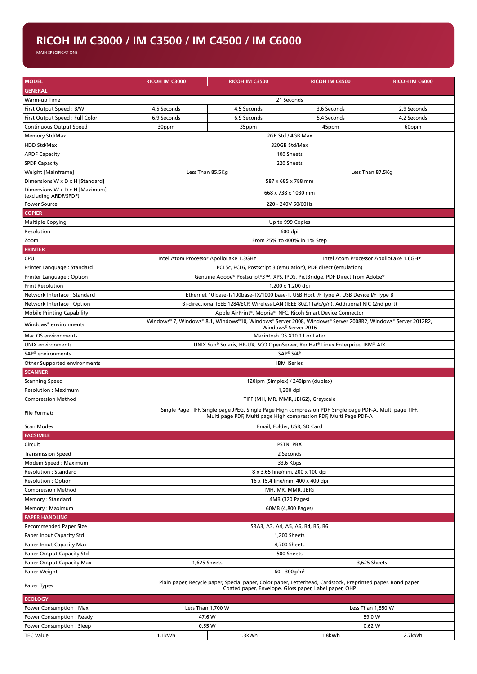#### **RICOH IM C3000 / IM C3500 / IM C4500 / IM C6000**

MAIN SPECIFICATIONS

| <b>MODEL</b>                      | <b>RICOH IM C3000</b>                                                                                                                                                          | RICOH IM C3500              | <b>RICOH IM C4500</b> | <b>RICOH IM C6000</b> |  |  |
|-----------------------------------|--------------------------------------------------------------------------------------------------------------------------------------------------------------------------------|-----------------------------|-----------------------|-----------------------|--|--|
| <b>GENERAL</b>                    |                                                                                                                                                                                |                             |                       |                       |  |  |
| Warm-up Time                      |                                                                                                                                                                                | 21 Seconds                  |                       |                       |  |  |
| First Output Speed: B/W           | 4.5 Seconds                                                                                                                                                                    | 4.5 Seconds                 | 3.6 Seconds           | 2.9 Seconds           |  |  |
| First Output Speed : Full Color   | 6.9 Seconds                                                                                                                                                                    | 6.9 Seconds                 | 5.4 Seconds           | 4.2 Seconds           |  |  |
| <b>Continuous Output Speed</b>    | 30ppm                                                                                                                                                                          | 35ppm                       | 45ppm                 | 60ppm                 |  |  |
| Memory Std/Max                    |                                                                                                                                                                                | 2GB Std / 4GB Max           |                       |                       |  |  |
| <b>HDD Std/Max</b>                |                                                                                                                                                                                |                             |                       |                       |  |  |
| <b>ARDF Capacity</b>              | 320GB Std/Max                                                                                                                                                                  |                             |                       |                       |  |  |
| <b>SPDF Capacity</b>              | 100 Sheets                                                                                                                                                                     |                             |                       |                       |  |  |
| Weight [Mainframe]                | 220 Sheets<br>Less Than 85.5Kg<br>Less Than 87.5Kg                                                                                                                             |                             |                       |                       |  |  |
| Dimensions W x D x H [Standard]   | 587 x 685 x 788 mm                                                                                                                                                             |                             |                       |                       |  |  |
| Dimensions W x D x H [Maximum]    |                                                                                                                                                                                |                             |                       |                       |  |  |
| (excluding ARDF/SPDF)             | 668 x 738 x 1030 mm                                                                                                                                                            |                             |                       |                       |  |  |
| <b>Power Source</b>               | 220 - 240V 50/60Hz                                                                                                                                                             |                             |                       |                       |  |  |
| <b>COPIER</b>                     |                                                                                                                                                                                |                             |                       |                       |  |  |
| <b>Multiple Copying</b>           | Up to 999 Copies                                                                                                                                                               |                             |                       |                       |  |  |
| Resolution                        | 600 dpi                                                                                                                                                                        |                             |                       |                       |  |  |
| Zoom                              |                                                                                                                                                                                | From 25% to 400% in 1% Step |                       |                       |  |  |
| <b>PRINTER</b>                    |                                                                                                                                                                                |                             |                       |                       |  |  |
| CPU                               | Intel Atom Processor ApolloLake 1.3GHz<br>Intel Atom Processor ApolloLake 1.6GHz                                                                                               |                             |                       |                       |  |  |
| Printer Language: Standard        | PCL5c, PCL6, Postscript 3 (emulation), PDF direct (emulation)                                                                                                                  |                             |                       |                       |  |  |
| Printer Language: Option          | Genuine Adobe® Postscript®3™, XPS, IPDS, PictBridge, PDF Direct from Adobe®                                                                                                    |                             |                       |                       |  |  |
| <b>Print Resolution</b>           | 1,200 x 1,200 dpi                                                                                                                                                              |                             |                       |                       |  |  |
| Network Interface: Standard       | Ethernet 10 base-T/100base-TX/1000 base-T, USB Host I/F Type A, USB Device I/F Type B                                                                                          |                             |                       |                       |  |  |
| Network Interface: Option         | Bi-directional IEEE 1284/ECP, Wireless LAN (IEEE 802.11a/b/g/n), Additional NIC (2nd port)                                                                                     |                             |                       |                       |  |  |
| <b>Mobile Printing Capability</b> | Apple AirPrint®, Mopria®, NFC, Ricoh Smart Device Connector                                                                                                                    |                             |                       |                       |  |  |
| Windows <sup>®</sup> environments | Windows® 7, Windows® 8.1, Windows®10, Windows® Server 2008, Windows® Server 2008R2, Windows® Server 2012R2,<br>Windows® Server 2016                                            |                             |                       |                       |  |  |
| Mac OS environments               | Macintosh OS X10.11 or Later                                                                                                                                                   |                             |                       |                       |  |  |
| <b>UNIX environments</b>          | UNIX Sun® Solaris, HP-UX, SCO OpenServer, RedHat® Linux Enterprise, IBM® AIX                                                                                                   |                             |                       |                       |  |  |
| SAP <sup>®</sup> environments     | SAP <sup>®</sup> S/4 <sup>®</sup>                                                                                                                                              |                             |                       |                       |  |  |
| Other Supported environments      | <b>IBM</b> iSeries                                                                                                                                                             |                             |                       |                       |  |  |
| <b>SCANNER</b>                    |                                                                                                                                                                                |                             |                       |                       |  |  |
| <b>Scanning Speed</b>             | 120ipm (Simplex) / 240ipm (duplex)                                                                                                                                             |                             |                       |                       |  |  |
| <b>Resolution: Maximum</b>        | 1,200 dpi                                                                                                                                                                      |                             |                       |                       |  |  |
| <b>Compression Method</b>         | TIFF (MH, MR, MMR, JBIG2), Grayscale                                                                                                                                           |                             |                       |                       |  |  |
| <b>File Formats</b>               | Single Page TIFF, Single page JPEG, Single Page High compression PDF, Single page PDF-A, Multi page TIFF,<br>Multi page PDF, Multi page High compression PDF, Multi Page PDF-A |                             |                       |                       |  |  |
| Scan Modes                        | Email, Folder, USB, SD Card                                                                                                                                                    |                             |                       |                       |  |  |
| <b>FACSIMILE</b>                  |                                                                                                                                                                                |                             |                       |                       |  |  |
| Circuit                           | PSTN, PBX                                                                                                                                                                      |                             |                       |                       |  |  |
| <b>Transmission Speed</b>         | 2 Seconds                                                                                                                                                                      |                             |                       |                       |  |  |
| Modem Speed: Maximum              | 33.6 Kbps                                                                                                                                                                      |                             |                       |                       |  |  |
| <b>Resolution: Standard</b>       | 8 x 3.65 line/mm, 200 x 100 dpi                                                                                                                                                |                             |                       |                       |  |  |
| <b>Resolution: Option</b>         | 16 x 15.4 line/mm, 400 x 400 dpi                                                                                                                                               |                             |                       |                       |  |  |
| <b>Compression Method</b>         | MH, MR, MMR, JBIG                                                                                                                                                              |                             |                       |                       |  |  |
| Memory: Standard                  | 4MB (320 Pages)                                                                                                                                                                |                             |                       |                       |  |  |
| Memory: Maximum                   | 60MB (4,800 Pages)                                                                                                                                                             |                             |                       |                       |  |  |
| <b>PAPER HANDLING</b>             |                                                                                                                                                                                |                             |                       |                       |  |  |
| Recommended Paper Size            | SRA3, A3, A4, A5, A6, B4, B5, B6                                                                                                                                               |                             |                       |                       |  |  |
| Paper Input Capacity Std          | 1,200 Sheets                                                                                                                                                                   |                             |                       |                       |  |  |
| Paper Input Capacity Max          | 4,700 Sheets                                                                                                                                                                   |                             |                       |                       |  |  |
| Paper Output Capacity Std         | 500 Sheets                                                                                                                                                                     |                             |                       |                       |  |  |
| Paper Output Capacity Max         | 1,625 Sheets                                                                                                                                                                   |                             | 3,625 Sheets          |                       |  |  |
| Paper Weight                      | $60 - 300$ g/m <sup>2</sup>                                                                                                                                                    |                             |                       |                       |  |  |
| Paper Types                       | Plain paper, Recycle paper, Special paper, Color paper, Letterhead, Cardstock, Preprinted paper, Bond paper,<br>Coated paper, Envelope, Gloss paper, Label paper, OHP          |                             |                       |                       |  |  |
| <b>ECOLOGY</b>                    |                                                                                                                                                                                |                             |                       |                       |  |  |
| Power Consumption: Max            | Less Than 1,700 W<br>Less Than 1,850 W                                                                                                                                         |                             |                       |                       |  |  |
| Power Consumption: Ready          | 47.6 W                                                                                                                                                                         |                             | 59.0 W                |                       |  |  |
| Power Consumption : Sleep         |                                                                                                                                                                                | 0.55W                       | 0.62 W                |                       |  |  |
| <b>TEC Value</b>                  | 1.1kWh                                                                                                                                                                         | 1.3kWh                      | 1.8kWh                | 2.7kWh                |  |  |